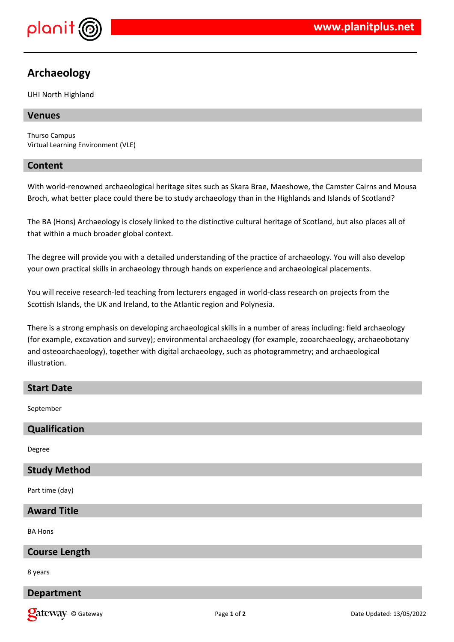

# **Archaeology**

UHI North Highland

#### **Venues**

Thurso Campus Virtual Learning Environment (VLE)

#### **Content**

With world-renowned archaeological heritage sites such as Skara Brae, Maeshowe, the Camster Cairns and Mousa Broch, what better place could there be to study archaeology than in the Highlands and Islands of Scotland?

The BA (Hons) Archaeology is closely linked to the distinctive cultural heritage of Scotland, but also places all of that within a much broader global context.

The degree will provide you with a detailed understanding of the practice of archaeology. You will also develop your own practical skills in archaeology through hands on experience and archaeological placements.

You will receive research-led teaching from lecturers engaged in world-class research on projects from the Scottish Islands, the UK and Ireland, to the Atlantic region and Polynesia.

There is a strong emphasis on developing archaeological skills in a number of areas including: field archaeology (for example, excavation and survey); environmental archaeology (for example, zooarchaeology, archaeobotany and osteoarchaeology), together with digital archaeology, such as photogrammetry; and archaeological illustration.

# **Start Date**

September

# **Qualification**

Degree

# **Study Method**

Part time (day)

#### **Award Title**

BA Hons

#### **Course Length**

8 years

# **Department**

**Qateway** © Gateway **Page 1** of 2 Date Updated: 13/05/2022 Date Updated: 13/05/2022